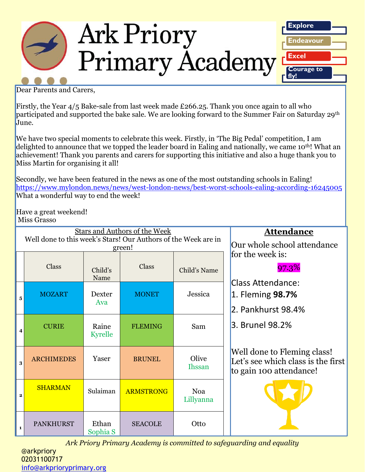

Dear Parents and Carers,

Firstly, the Year 4/5 Bake-sale from last week made £266.25. Thank you once again to all who participated and supported the bake sale. We are looking forward to the Summer Fair on Saturday 29<sup>th</sup> June.

We have two special moments to celebrate this week. Firstly, in 'The Big Pedal' competition, I am delighted to announce that we topped the leader board in Ealing and nationally, we came 10<sup>th!</sup> What an achievement! Thank you parents and carers for supporting this initiative and also a huge thank you to Miss Martin for organising it all!

Secondly, we have been featured in the news as one of the most outstanding schools in Ealing! <https://www.mylondon.news/news/west-london-news/best-worst-schools-ealing-according-16245005> What a wonderful way to end the week!

Have a great weekend! Miss Grasso

| Stars and Authors of the Week<br>Well done to this week's Stars! Our Authors of the Week are in |                   |                         |                  |                         | <b>Attendance</b>                                                                            |
|-------------------------------------------------------------------------------------------------|-------------------|-------------------------|------------------|-------------------------|----------------------------------------------------------------------------------------------|
| green!                                                                                          |                   |                         |                  |                         | Our whole school attendance                                                                  |
|                                                                                                 | <b>Class</b>      | Child's<br>Name         | <b>Class</b>     | Child's Name            | for the week is:<br>97.3%                                                                    |
| 5                                                                                               | <b>MOZART</b>     | <b>Dexter</b><br>Ava    | <b>MONET</b>     | Jessica                 | <b>Class Attendance:</b><br>1. Fleming <b>98.7%</b><br>2. Pankhurst 98.4%                    |
| 4                                                                                               | <b>CURIE</b>      | Raine<br><b>Kyrelle</b> | <b>FLEMING</b>   | Sam                     | 3. Brunel 98.2%                                                                              |
| 3                                                                                               | <b>ARCHIMEDES</b> | Yaser                   | <b>BRUNEL</b>    | Olive<br><b>Ihssan</b>  | Well done to Fleming class!<br>Let's see which class is the first<br>to gain 100 attendance! |
| $\overline{2}$                                                                                  | <b>SHARMAN</b>    | Sulaiman                | <b>ARMSTRONG</b> | <b>Noa</b><br>Lillyanna |                                                                                              |
| $\mathbf{1}$                                                                                    | <b>PANKHURST</b>  | Ethan<br>Sophia S       | <b>SEACOLE</b>   | Otto                    |                                                                                              |

*Ark Priory Primary Academy is committed to safeguarding and equality* 

@arkpriory 02031100717 [info@arkprioryprimary.org](mailto:info@arkprioryprimary.org)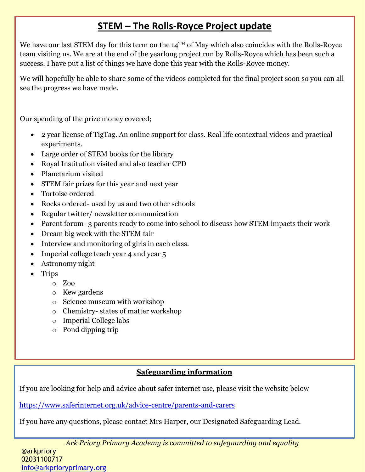# **STEM – The Rolls-Royce Project update**

We have our last STEM day for this term on the 14<sup>TH</sup> of May which also coincides with the Rolls-Royce team visiting us. We are at the end of the yearlong project run by Rolls-Royce which has been such a success. I have put a list of things we have done this year with the Rolls-Royce money.

We will hopefully be able to share some of the videos completed for the final project soon so you can all see the progress we have made.

Our spending of the prize money covered;

- 2 year license of TigTag. An online support for class. Real life contextual videos and practical experiments.
- Large order of STEM books for the library
- Royal Institution visited and also teacher CPD
- Planetarium visited
- STEM fair prizes for this year and next year
- Tortoise ordered
- Rocks ordered-used by us and two other schools
- Regular twitter/ newsletter communication
- Parent forum- 3 parents ready to come into school to discuss how STEM impacts their work
- Dream big week with the STEM fair
- Interview and monitoring of girls in each class.
- Imperial college teach year 4 and year 5
- Astronomy night
- Trips
	- o Zoo
		- o Kew gardens
		- o Science museum with workshop
		- o Chemistry- states of matter workshop
		- o Imperial College labs
		- o Pond dipping trip

#### **Safeguarding information**

If you are looking for help and advice about safer internet use, please visit the website below

<https://www.saferinternet.org.uk/advice-centre/parents-and-carers>

If you have any questions, please contact Mrs Harper, our Designated Safeguarding Lead.

*Ark Priory Primary Academy is committed to safeguarding and equality*  @arkpriory 02031100717 [info@arkprioryprimary.org](mailto:info@arkprioryprimary.org)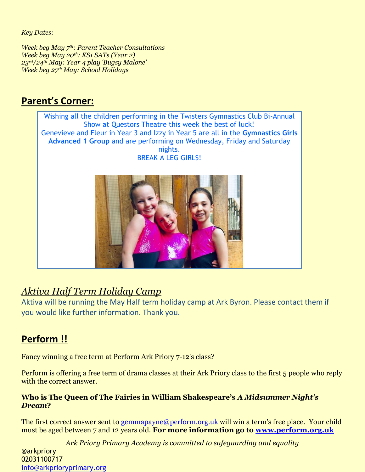*Key Dates:*

*Week beg May 7th: Parent Teacher Consultations Week beg May 20th: KS1 SATs (Year 2) 23rd/24th May: Year 4 play 'Bugsy Malone' Week beg 27th May: School Holidays*

#### **Parent's Corner:**



## *Aktiva Half Term Holiday Camp*

Aktiva will be running the May Half term holiday camp at Ark Byron. Please contact them if you would like further information. Thank you.

## **Perform !!**

Fancy winning a free term at Perform Ark Priory 7-12's class?

Perform is offering a free term of drama classes at their Ark Priory class to the first 5 people who reply with the correct answer.

#### **Who is The Queen of The Fairies in William Shakespeare's** *A Midsummer Night's Dream***?**

The first correct answer sent to [gemmapayne@perform.org.uk](mailto:gemmapayne@perform.org.uk) will win a term's free place. Your child must be aged between 7 and 12 years old. **For more information go to [www.perform.org.uk](http://www.perform.org.uk/)**

*Ark Priory Primary Academy is committed to safeguarding and equality*  @arkpriory 02031100717 [info@arkprioryprimary.org](mailto:info@arkprioryprimary.org)